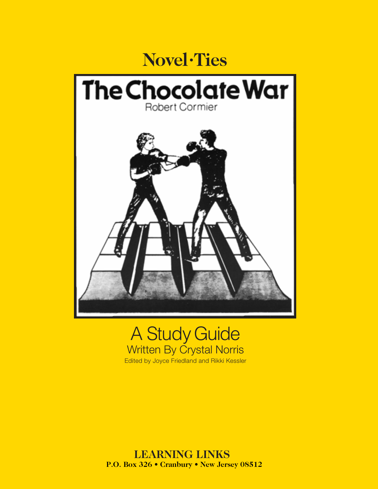

# A Study Guide Written By Crystal Norris Edited by Joyce Friedland and Rikki Kessler

 **LEARNING LINKS P.O. Box 326 • Cranbury • New Jersey 08512**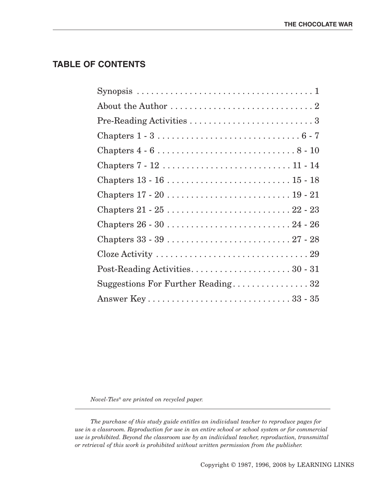### **TABLE OF CONTENTS**

| Synopsis $\ldots \ldots \ldots \ldots \ldots \ldots \ldots \ldots \ldots \ldots \ldots \ldots 1$ |
|--------------------------------------------------------------------------------------------------|
| About the Author $\dots\dots\dots\dots\dots\dots\dots\dots\dots\dots 2$                          |
|                                                                                                  |
|                                                                                                  |
|                                                                                                  |
|                                                                                                  |
|                                                                                                  |
|                                                                                                  |
|                                                                                                  |
|                                                                                                  |
|                                                                                                  |
|                                                                                                  |
|                                                                                                  |
| Suggestions For Further Reading32                                                                |
|                                                                                                  |

*Novel-Ties® are printed on recycled paper.*

*The purchase of this study guide entitles an individual teacher to reproduce pages for use in a classroom. Reproduction for use in an entire school or school system or for commercial use is prohibited. Beyond the classroom use by an individual teacher, reproduction, transmittal or retrieval of this work is prohibited without written permission from the publisher.*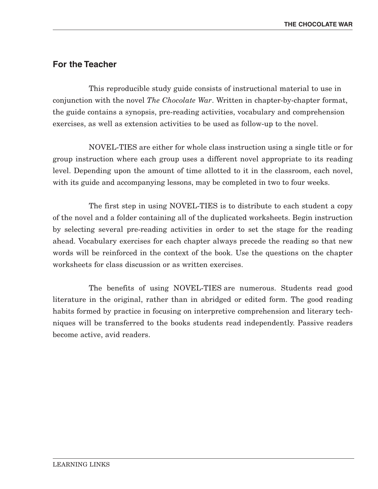## **For the Teacher**

This reproducible study guide consists of instructional material to use in conjunction with the novel *The Chocolate War*. Written in chapter-by-chapter format, the guide contains a synopsis, pre-reading activities, vocabulary and comprehension exercises, as well as extension activities to be used as follow-up to the novel.

NOVEL-TIES are either for whole class instruction using a single title or for group instruction where each group uses a different novel appropriate to its reading level. Depending upon the amount of time allotted to it in the classroom, each novel, with its guide and accompanying lessons, may be completed in two to four weeks.

The first step in using NOVEL-TIES is to distribute to each student a copy of the novel and a folder containing all of the duplicated worksheets. Begin instruction by selecting several pre-reading activities in order to set the stage for the reading ahead. Vocabulary exercises for each chapter always precede the reading so that new words will be reinforced in the context of the book. Use the questions on the chapter worksheets for class discussion or as written exercises.

The benefits of using NOVEL-TIES are numerous. Students read good literature in the original, rather than in abridged or edited form. The good reading habits formed by practice in focusing on interpretive comprehension and literary techniques will be transferred to the books students read independently. Passive readers become active, avid readers.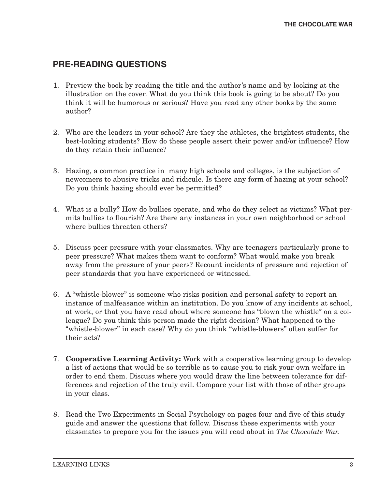# **PRE-READING QUESTIONS**

- 1. Preview the book by reading the title and the author's name and by looking at the illustration on the cover. What do you think this book is going to be about? Do you think it will be humorous or serious? Have you read any other books by the same author?
- 2. Who are the leaders in your school? Are they the athletes, the brightest students, the best-looking students? How do these people assert their power and/or influence? How do they retain their influence?
- 3. Hazing, a common practice in many high schools and colleges, is the subjection of newcomers to abusive tricks and ridicule. Is there any form of hazing at your school? Do you think hazing should ever be permitted?
- 4. What is a bully? How do bullies operate, and who do they select as victims? What permits bullies to flourish? Are there any instances in your own neighborhood or school where bullies threaten others?
- 5. Discuss peer pressure with your classmates. Why are teenagers particularly prone to peer pressure? What makes them want to conform? What would make you break away from the pressure of your peers? Recount incidents of pressure and rejection of peer standards that you have experienced or witnessed.
- 6. A "whistle-blower" is someone who risks position and personal safety to report an instance of malfeasance within an institution. Do you know of any incidents at school, at work, or that you have read about where someone has "blown the whistle" on a colleague? Do you think this person made the right decision? What happened to the "whistle-blower" in each case? Why do you think "whistle-blowers" often suffer for their acts?
- 7. **Cooperative Learning Activity:** Work with a cooperative learning group to develop a list of actions that would be so terrible as to cause you to risk your own welfare in order to end them. Discuss where you would draw the line between tolerance for differences and rejection of the truly evil. Compare your list with those of other groups in your class.
- 8. Read the Two Experiments in Social Psychology on pages four and five of this study guide and answer the questions that follow. Discuss these experiments with your classmates to prepare you for the issues you will read about in *The Chocolate War.*